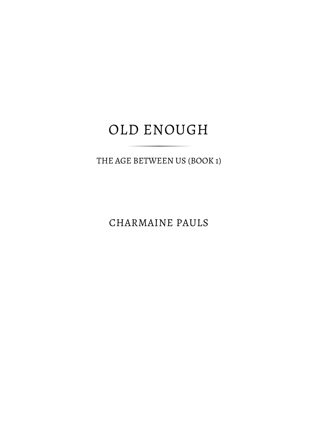THE AGE BETWEEN US (BOOK 1)

CHARMAINE PAULS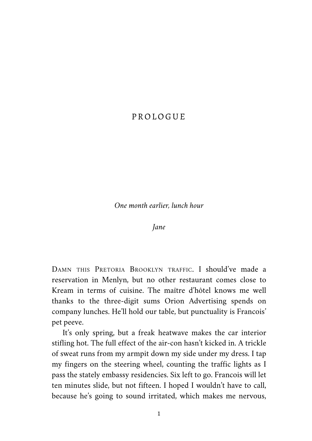## PROLOGUE

*One month earlier, lunch hour*

*Jane*

DAMN THIS PRETORIA BROOKLYN TRAFFIC. I should've made a reservation in Menlyn, but no other restaurant comes close to Kream in terms of cuisine. The maître d'hôtel knows me well thanks to the three-digit sums Orion Advertising spends on company lunches. He'll hold our table, but punctuality is Francois' pet peeve.

It's only spring, but a freak heatwave makes the car interior stifling hot. The full effect of the air-con hasn't kicked in. A trickle of sweat runs from my armpit down my side under my dress. I tap my fingers on the steering wheel, counting the traffic lights as I pass the stately embassy residencies. Six left to go. Francois will let ten minutes slide, but not fifteen. I hoped I wouldn't have to call, because he's going to sound irritated, which makes me nervous,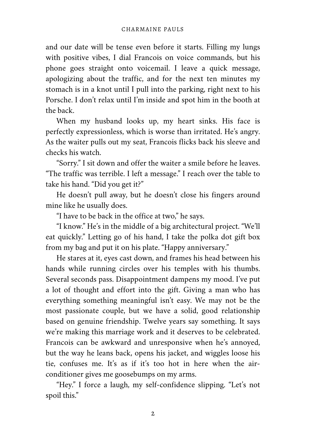and our date will be tense even before it starts. Filling my lungs with positive vibes, I dial Francois on voice commands, but his phone goes straight onto voicemail. I leave a quick message, apologizing about the traffic, and for the next ten minutes my stomach is in a knot until I pull into the parking, right next to his Porsche. I don't relax until I'm inside and spot him in the booth at the back.

When my husband looks up, my heart sinks. His face is perfectly expressionless, which is worse than irritated. He's angry. As the waiter pulls out my seat, Francois flicks back his sleeve and checks his watch.

"Sorry." I sit down and offer the waiter a smile before he leaves. "The traffic was terrible. I left a message." I reach over the table to take his hand. "Did you get it?"

He doesn't pull away, but he doesn't close his fingers around mine like he usually does.

"I have to be back in the office at two," he says.

"I know." He's in the middle of a big architectural project. "We'll eat quickly." Letting go of his hand, I take the polka dot gift box from my bag and put it on his plate. "Happy anniversary."

He stares at it, eyes cast down, and frames his head between his hands while running circles over his temples with his thumbs. Several seconds pass. Disappointment dampens my mood. I've put a lot of thought and effort into the gift. Giving a man who has everything something meaningful isn't easy. We may not be the most passionate couple, but we have a solid, good relationship based on genuine friendship. Twelve years say something. It says we're making this marriage work and it deserves to be celebrated. Francois can be awkward and unresponsive when he's annoyed, but the way he leans back, opens his jacket, and wiggles loose his tie, confuses me. It's as if it's too hot in here when the airconditioner gives me goosebumps on my arms.

"Hey." I force a laugh, my self-confidence slipping. "Let's not spoil this."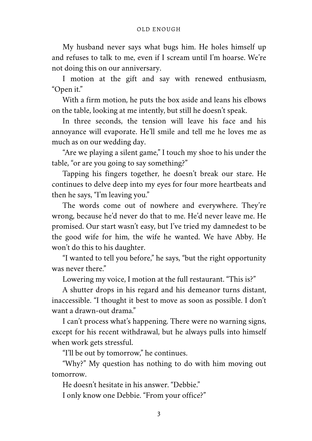My husband never says what bugs him. He holes himself up and refuses to talk to me, even if I scream until I'm hoarse. We're not doing this on our anniversary.

I motion at the gift and say with renewed enthusiasm, "Open it."

With a firm motion, he puts the box aside and leans his elbows on the table, looking at me intently, but still he doesn't speak.

In three seconds, the tension will leave his face and his annoyance will evaporate. He'll smile and tell me he loves me as much as on our wedding day.

"Are we playing a silent game," I touch my shoe to his under the table, "or are you going to say something?"

Tapping his fingers together, he doesn't break our stare. He continues to delve deep into my eyes for four more heartbeats and then he says, "I'm leaving you."

The words come out of nowhere and everywhere. They're wrong, because he'd never do that to me. He'd never leave me. He promised. Our start wasn't easy, but I've tried my damnedest to be the good wife for him, the wife he wanted. We have Abby. He won't do this to his daughter.

"I wanted to tell you before," he says, "but the right opportunity was never there."

Lowering my voice, I motion at the full restaurant. "This is?"

A shutter drops in his regard and his demeanor turns distant, inaccessible. "I thought it best to move as soon as possible. I don't want a drawn-out drama."

I can't process what's happening. There were no warning signs, except for his recent withdrawal, but he always pulls into himself when work gets stressful.

"I'll be out by tomorrow," he continues.

"Why?" My question has nothing to do with him moving out tomorrow.

He doesn't hesitate in his answer. "Debbie."

I only know one Debbie. "From your office?"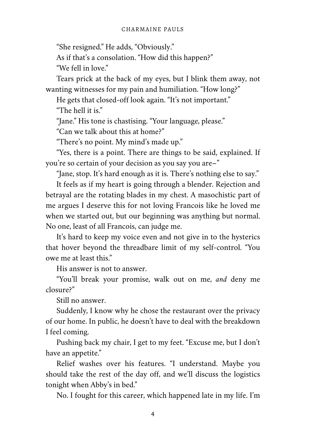"She resigned." He adds, "Obviously."

As if that's a consolation. "How did this happen?"

"We fell in love."

Tears prick at the back of my eyes, but I blink them away, not wanting witnesses for my pain and humiliation. "How long?"

He gets that closed-off look again. "It's not important."

"The hell it is."

"Jane." His tone is chastising. "Your language, please."

"Can we talk about this at home?"

"There's no point. My mind's made up."

"Yes, there is a point. There are things to be said, explained. If you're so certain of your decision as you say you are–"

"Jane, stop. It's hard enough as it is. There's nothing else to say."

It feels as if my heart is going through a blender. Rejection and betrayal are the rotating blades in my chest. A masochistic part of me argues I deserve this for not loving Francois like he loved me when we started out, but our beginning was anything but normal. No one, least of all Francois, can judge me.

It's hard to keep my voice even and not give in to the hysterics that hover beyond the threadbare limit of my self-control. "You owe me at least this."

His answer is not to answer.

"You'll break your promise, walk out on me, *and* deny me closure?"

Still no answer.

Suddenly, I know why he chose the restaurant over the privacy of our home. In public, he doesn't have to deal with the breakdown I feel coming.

Pushing back my chair, I get to my feet. "Excuse me, but I don't have an appetite."

Relief washes over his features. "I understand. Maybe you should take the rest of the day off, and we'll discuss the logistics tonight when Abby's in bed."

No. I fought for this career, which happened late in my life. I'm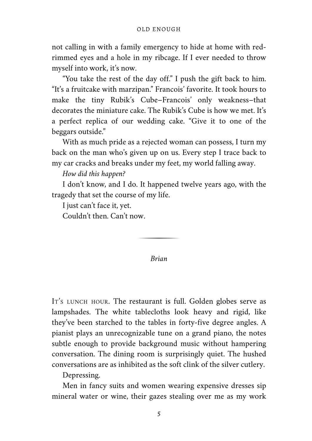not calling in with a family emergency to hide at home with redrimmed eyes and a hole in my ribcage. If I ever needed to throw myself into work, it's now.

"You take the rest of the day off." I push the gift back to him. "It's a fruitcake with marzipan." Francois' favorite. It took hours to make the tiny Rubik's Cube–Francois' only weakness–that decorates the miniature cake. The Rubik's Cube is how we met. It's a perfect replica of our wedding cake. "Give it to one of the beggars outside."

With as much pride as a rejected woman can possess, I turn my back on the man who's given up on us. Every step I trace back to my car cracks and breaks under my feet, my world falling away.

*How did this happen?*

I don't know, and I do. It happened twelve years ago, with the tragedy that set the course of my life.

I just can't face it, yet.

Couldn't then. Can't now.

## *Brian*

IT'S LUNCH HOUR. The restaurant is full. Golden globes serve as lampshades. The white tablecloths look heavy and rigid, like they've been starched to the tables in forty-five degree angles. A pianist plays an unrecognizable tune on a grand piano, the notes subtle enough to provide background music without hampering conversation. The dining room is surprisingly quiet. The hushed conversations are as inhibited as the soft clink of the silver cutlery.

Depressing.

Men in fancy suits and women wearing expensive dresses sip mineral water or wine, their gazes stealing over me as my work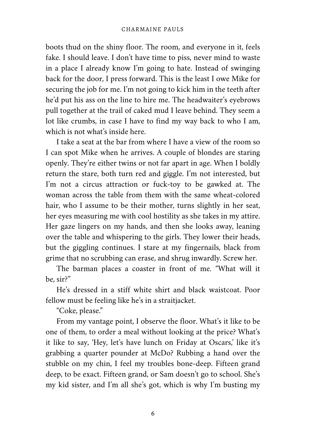## CHARMAINE PAULS

boots thud on the shiny floor. The room, and everyone in it, feels fake. I should leave. I don't have time to piss, never mind to waste in a place I already know I'm going to hate. Instead of swinging back for the door, I press forward. This is the least I owe Mike for securing the job for me. I'm not going to kick him in the teeth after he'd put his ass on the line to hire me. The headwaiter's eyebrows pull together at the trail of caked mud I leave behind. They seem a lot like crumbs, in case I have to find my way back to who I am, which is not what's inside here.

I take a seat at the bar from where I have a view of the room so I can spot Mike when he arrives. A couple of blondes are staring openly. They're either twins or not far apart in age. When I boldly return the stare, both turn red and giggle. I'm not interested, but I'm not a circus attraction or fuck-toy to be gawked at. The woman across the table from them with the same wheat-colored hair, who I assume to be their mother, turns slightly in her seat, her eyes measuring me with cool hostility as she takes in my attire. Her gaze lingers on my hands, and then she looks away, leaning over the table and whispering to the girls. They lower their heads, but the giggling continues. I stare at my fingernails, black from grime that no scrubbing can erase, and shrug inwardly. Screw her.

The barman places a coaster in front of me. "What will it be, sir?"

He's dressed in a stiff white shirt and black waistcoat. Poor fellow must be feeling like he's in a straitjacket.

"Coke, please."

From my vantage point, I observe the floor. What's it like to be one of them, to order a meal without looking at the price? What's it like to say, 'Hey, let's have lunch on Friday at Oscars,' like it's grabbing a quarter pounder at McDo? Rubbing a hand over the stubble on my chin, I feel my troubles bone-deep. Fifteen grand deep, to be exact. Fifteen grand, or Sam doesn't go to school. She's my kid sister, and I'm all she's got, which is why I'm busting my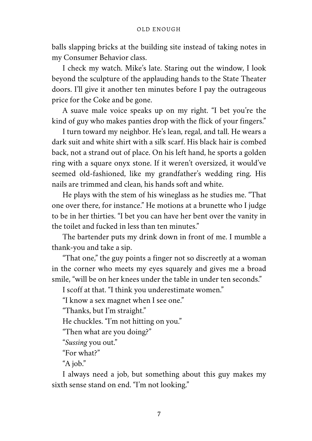balls slapping bricks at the building site instead of taking notes in my Consumer Behavior class.

I check my watch. Mike's late. Staring out the window, I look beyond the sculpture of the applauding hands to the State Theater doors. I'll give it another ten minutes before I pay the outrageous price for the Coke and be gone.

A suave male voice speaks up on my right. "I bet you're the kind of guy who makes panties drop with the flick of your fingers."

I turn toward my neighbor. He's lean, regal, and tall. He wears a dark suit and white shirt with a silk scarf. His black hair is combed back, not a strand out of place. On his left hand, he sports a golden ring with a square onyx stone. If it weren't oversized, it would've seemed old-fashioned, like my grandfather's wedding ring. His nails are trimmed and clean, his hands soft and white.

He plays with the stem of his wineglass as he studies me. "That one over there, for instance." He motions at a brunette who I judge to be in her thirties. "I bet you can have her bent over the vanity in the toilet and fucked in less than ten minutes."

The bartender puts my drink down in front of me. I mumble a thank-you and take a sip.

"That one," the guy points a finger not so discreetly at a woman in the corner who meets my eyes squarely and gives me a broad smile, "will be on her knees under the table in under ten seconds."

I scoff at that. "I think you underestimate women."

"I know a sex magnet when I see one."

"Thanks, but I'm straight."

He chuckles. "I'm not hitting on you."

"Then what are you doing?"

"*Sussing* you out."

"For what?"

"A job."

I always need a job, but something about this guy makes my sixth sense stand on end. "I'm not looking."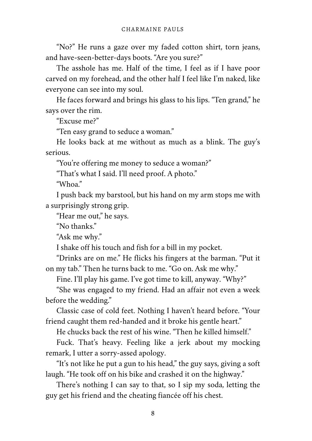"No?" He runs a gaze over my faded cotton shirt, torn jeans, and have-seen-better-days boots. "Are you sure?"

The asshole has me. Half of the time, I feel as if I have poor carved on my forehead, and the other half I feel like I'm naked, like everyone can see into my soul.

He faces forward and brings his glass to his lips. "Ten grand," he says over the rim.

"Excuse me?"

"Ten easy grand to seduce a woman."

He looks back at me without as much as a blink. The guy's serious.

"You're offering me money to seduce a woman?"

"That's what I said. I'll need proof. A photo."

"Whoa."

I push back my barstool, but his hand on my arm stops me with a surprisingly strong grip.

"Hear me out," he says.

"No thanks."

"Ask me why."

I shake off his touch and fish for a bill in my pocket.

"Drinks are on me." He flicks his fingers at the barman. "Put it on my tab." Then he turns back to me. "Go on. Ask me why."

Fine. I'll play his game. I've got time to kill, anyway. "Why?"

"She was engaged to my friend. Had an affair not even a week before the wedding."

Classic case of cold feet. Nothing I haven't heard before. "Your friend caught them red-handed and it broke his gentle heart."

He chucks back the rest of his wine. "Then he killed himself."

Fuck. That's heavy. Feeling like a jerk about my mocking remark, I utter a sorry-assed apology.

"It's not like he put a gun to his head," the guy says, giving a soft laugh. "He took off on his bike and crashed it on the highway."

There's nothing I can say to that, so I sip my soda, letting the guy get his friend and the cheating fiancée off his chest.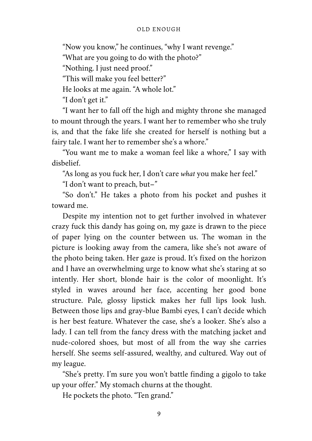"Now you know," he continues, "why I want revenge."

"What are you going to do with the photo?"

"Nothing. I just need proof."

"This will make you feel better?"

He looks at me again. "A whole lot."

"I don't get it."

"I want her to fall off the high and mighty throne she managed to mount through the years. I want her to remember who she truly is, and that the fake life she created for herself is nothing but a fairy tale. I want her to remember she's a whore."

"You want me to make a woman feel like a whore," I say with disbelief.

"As long as you fuck her, I don't care *what* you make her feel."

"I don't want to preach, but–"

"So don't." He takes a photo from his pocket and pushes it toward me.

Despite my intention not to get further involved in whatever crazy fuck this dandy has going on, my gaze is drawn to the piece of paper lying on the counter between us. The woman in the picture is looking away from the camera, like she's not aware of the photo being taken. Her gaze is proud. It's fixed on the horizon and I have an overwhelming urge to know what she's staring at so intently. Her short, blonde hair is the color of moonlight. It's styled in waves around her face, accenting her good bone structure. Pale, glossy lipstick makes her full lips look lush. Between those lips and gray-blue Bambi eyes, I can't decide which is her best feature. Whatever the case, she's a looker. She's also a lady. I can tell from the fancy dress with the matching jacket and nude-colored shoes, but most of all from the way she carries herself. She seems self-assured, wealthy, and cultured. Way out of my league.

"She's pretty. I'm sure you won't battle finding a gigolo to take up your offer." My stomach churns at the thought.

He pockets the photo. "Ten grand."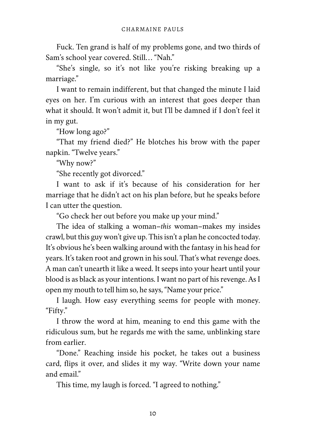Fuck. Ten grand is half of my problems gone, and two thirds of Sam's school year covered. Still… "Nah."

"She's single, so it's not like you're risking breaking up a marriage."

I want to remain indifferent, but that changed the minute I laid eyes on her. I'm curious with an interest that goes deeper than what it should. It won't admit it, but I'll be damned if I don't feel it in my gut.

"How long ago?"

"That my friend died?" He blotches his brow with the paper napkin. "Twelve years."

"Why now?"

"She recently got divorced."

I want to ask if it's because of his consideration for her marriage that he didn't act on his plan before, but he speaks before I can utter the question.

"Go check her out before you make up your mind."

The idea of stalking a woman–*this* woman–makes my insides crawl, but this guy won't give up. This isn't a plan he concocted today. It's obvious he's been walking around with the fantasy in his head for years. It's taken root and grown in his soul. That's what revenge does. A man can't unearth it like a weed. It seeps into your heart until your blood is as black as your intentions. I want no part of his revenge. As I open my mouth to tell him so, he says, "Name your price."

I laugh. How easy everything seems for people with money. "Fifty."

I throw the word at him, meaning to end this game with the ridiculous sum, but he regards me with the same, unblinking stare from earlier.

"Done." Reaching inside his pocket, he takes out a business card, flips it over, and slides it my way. "Write down your name and email."

This time, my laugh is forced. "I agreed to nothing."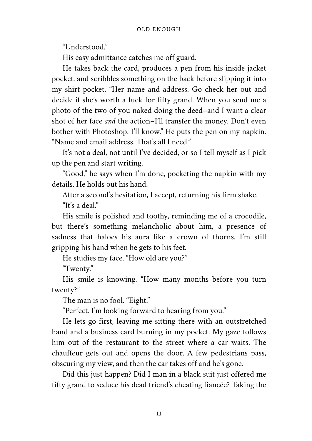"Understood."

His easy admittance catches me off guard.

He takes back the card, produces a pen from his inside jacket pocket, and scribbles something on the back before slipping it into my shirt pocket. "Her name and address. Go check her out and decide if she's worth a fuck for fifty grand. When you send me a photo of the two of you naked doing the deed–and I want a clear shot of her face *and* the action–I'll transfer the money. Don't even bother with Photoshop. I'll know." He puts the pen on my napkin. "Name and email address. That's all I need."

It's not a deal, not until I've decided, or so I tell myself as I pick up the pen and start writing.

"Good," he says when I'm done, pocketing the napkin with my details. He holds out his hand.

After a second's hesitation, I accept, returning his firm shake. "It's a deal."

His smile is polished and toothy, reminding me of a crocodile, but there's something melancholic about him, a presence of sadness that haloes his aura like a crown of thorns. I'm still gripping his hand when he gets to his feet.

He studies my face. "How old are you?"

"Twenty."

His smile is knowing. "How many months before you turn twenty?"

The man is no fool. "Eight."

"Perfect. I'm looking forward to hearing from you."

He lets go first, leaving me sitting there with an outstretched hand and a business card burning in my pocket. My gaze follows him out of the restaurant to the street where a car waits. The chauffeur gets out and opens the door. A few pedestrians pass, obscuring my view, and then the car takes off and he's gone.

Did this just happen? Did I man in a black suit just offered me fifty grand to seduce his dead friend's cheating fiancée? Taking the